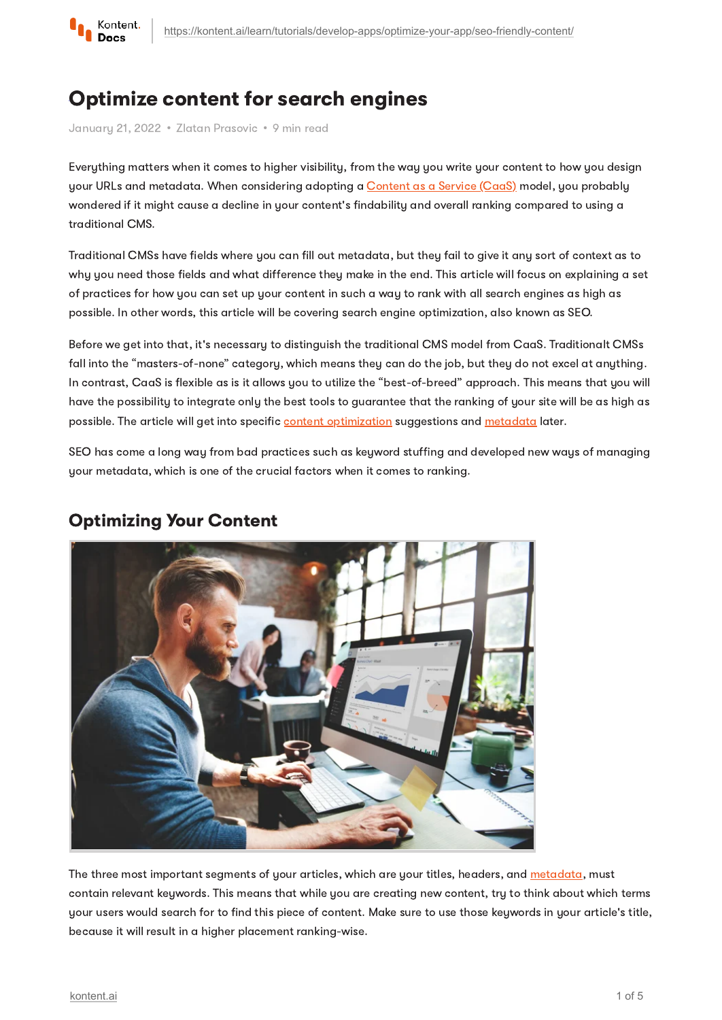

# Optimize content for search engines

January 21, 2022 · Zlatan Prasovic · 9 min read

Everything matters when it comes to higher visibility, from the way you write your content to how you design your URLs and metadata. When considering adopting a [Content](https://kontent.ai/learn/tutorials/start-with-kontent/what-is-content-as-a-service/) as a Service (CaaS) model, you probably wondered if it might cause a decline in your content's findability and overall ranking compared to using a traditional CMS.

Traditional CMSs have fields where you can fill out metadata, but they fail to give it any sort of context as to why you need those fields and what difference they make in the end. This article will focus on explaining a set of practices for how you can set up your content in such a way to rank with all search engines as high as possible. In other words, this article will be covering search engine optimization, also known as SEO.

Before we get into that, it's necessary to distinguish the traditional CMS model from CaaS. Traditionalt CMSs fall into the "masters-of-none" category, which means they can do the job, but they do not excel at anything. In contrast, CaaS is flexible as is it allows you to utilize the "best-of-breed" approach. This means that you will have the possibility to integrate only the best tools to guarantee that the ranking of your site will be as high as possible. The article will get into specific content [optimization](#page-0-0) suggestions and [metadata](#page-1-0) later.

SEO has come a long way from bad practices such as keyword stuffing and developed new ways of managing your metadata, which is one of the crucial factors when it comes to ranking.



# <span id="page-0-0"></span>Optimizing Your Content

The three most important segments of your articles, which are your titles, headers, and [metadata](#page-1-0), must contain relevant keywords. This means that while you are creating new content, try to think about which terms your users would search for to find this piece of content. Make sure to use those keywords in your article's title, because it will result in a higher placement ranking-wise.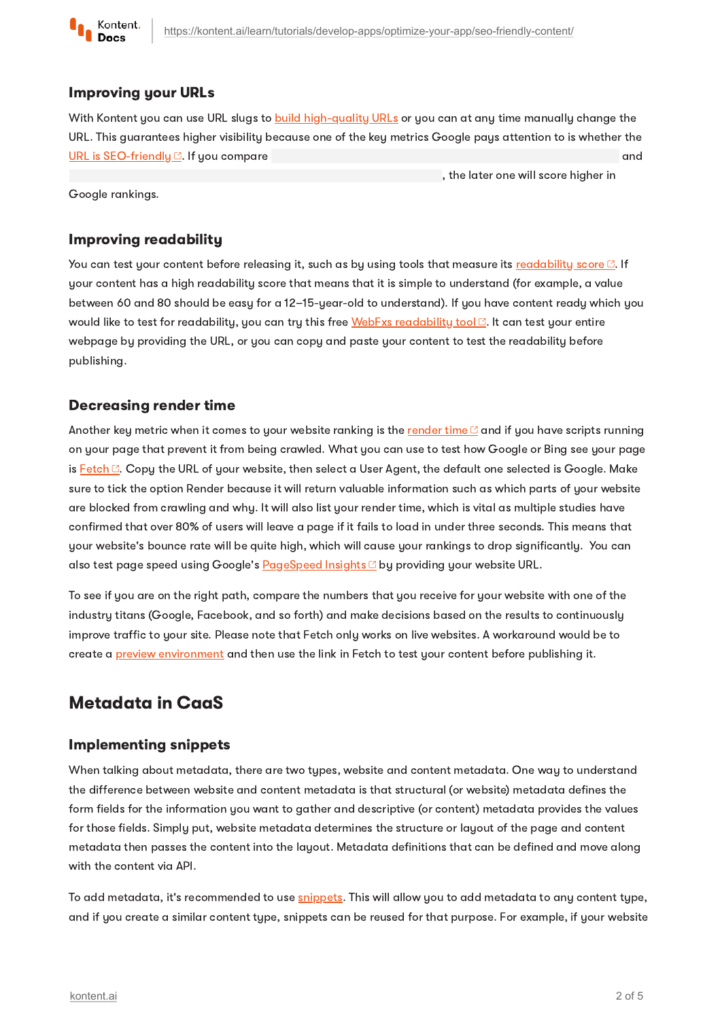

#### Improving your URLs

With Kontent you can use URL slugs to build [high-quality](https://kontent.ai/learn/tutorials/develop-apps/optimize-your-app/seo-friendly-urls/) URLs or you can at any time manually change the URL. This guarantees higher visibility because one of the key metrics Google pays attention to is whether the URL is [SEO-friendly](https://backlinko.com/hub/seo/urls) . If you compare and

, the later one will score higher in

Google rankings.

### Improving readability

You can test your content before releasing it, such as by using tools that measure its [readability](https://contentmarketinginstitute.com/2018/10/boost-content-readability/) score  $\boxtimes$ . If your content has a high readability score that means that it is simple to understand (for example, a value between 60 and 80 should be easy for a 12–15-year-old to understand). If you have content ready which you would like to test for [readability](https://www.webfx.com/tools/read-able/), you can try this free WebFxs readability tool . It can test your entire webpage by providing the URL, or you can copy and paste your content to test the readability before publishing.

### Decreasing render time

Another key metric when it comes to your website ranking is the [render](https://unbounce.com/page-speed-report/) time  $\mathbb{C}$  and if you have scripts running on your page that prevent it from being crawled. What you can use to test how Google or Bing see your page is  $\frac{\text{Fetch } \Box}{\text{Copy}}$  $\frac{\text{Fetch } \Box}{\text{Copy}}$  $\frac{\text{Fetch } \Box}{\text{Copy}}$  the URL of your website, then select a User Agent, the default one selected is Google. Make sure to tick the option Render because it will return valuable information such as which parts of your website are blocked from crawling and why. It will also list your render time, which is vital as multiple studies have confirmed that over 80% of users will leave a page if it fails to load in under three seconds. This means that your website's bounce rate will be quite high, which will cause your rankings to drop significantly. You can also test page speed using Google's [PageSpeed](https://pagespeed.web.dev/) Insights <sup>o</sup> by providing your website URL.

To see if you are on the right path, compare the numbers that you receive for your website with one of the industry titans (Google, Facebook, and so forth) and make decisions based on the results to continuously improve traffic to your site. Please note that Fetch only works on live websites. A workaround would be to create a preview [environment](https://kontent.ai/learn/tutorials/develop-apps/build-strong-foundation/set-up-preview/) and then use the link in Fetch to test your content before publishing it.

### <span id="page-1-0"></span>Metadata in CaaS

### Implementing snippets

When talking about metadata, there are two types, website and content metadata. One way to understand the difference between website and content metadata is that structural (or website) metadata defines the form fields for the information you want to gather and descriptive (or content) metadata provides the values for those fields. Simply put, website metadata determines the structure or layout of the page and content metadata then passes the content into the layout. Metadata definitions that can be defined and move along with the content via API.

To add metadata, it's recommended to use [snippets.](https://kontent.ai/learn/tutorials/manage-kontent/content-modeling/reuse-elements-with-snippets/) This will allow you to add metadata to any content type, and if you create a similar content type, snippets can be reused for that purpose. For example, if your website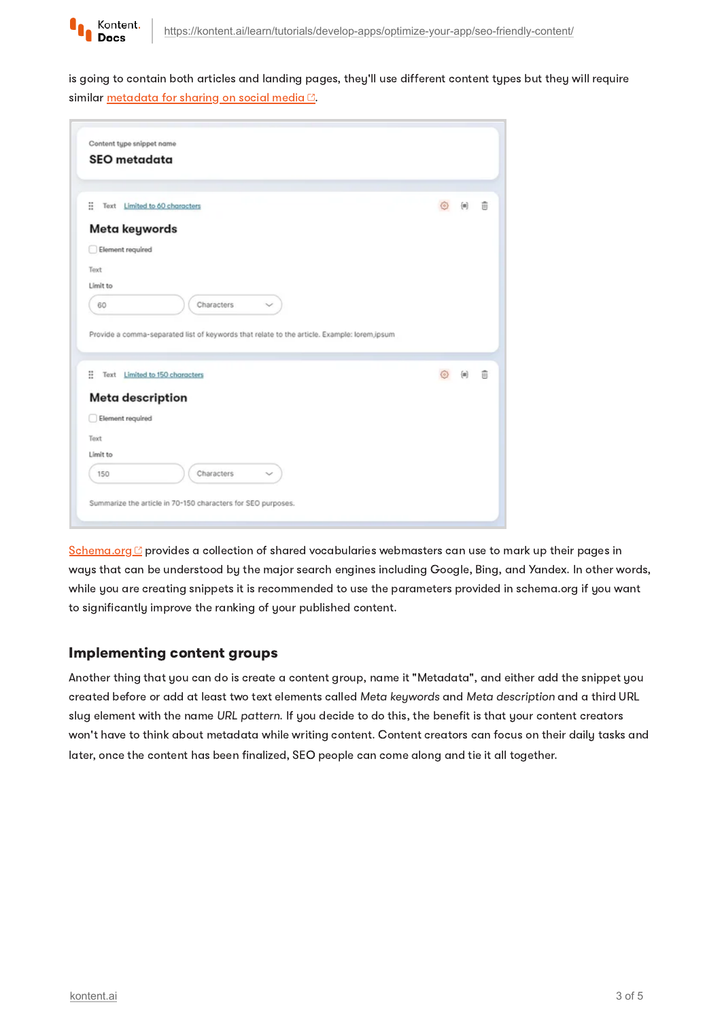

is going to contain both articles and landing pages, they'll use different content types but they will require similar [metadata](https://css-tricks.com/essential-meta-tags-social-media/) for sharing on social media  $\heartsuit$ .

| Content type snippet name                                                                   |   |   |
|---------------------------------------------------------------------------------------------|---|---|
| <b>SEO</b> metadata                                                                         |   |   |
|                                                                                             |   |   |
| ×<br>Text Limited to 60 characters                                                          | 佃 | 亩 |
| Meta keywords                                                                               |   |   |
| Element required                                                                            |   |   |
| Text                                                                                        |   |   |
|                                                                                             |   |   |
|                                                                                             |   |   |
| Characters<br>60                                                                            |   |   |
| Limit to                                                                                    |   |   |
|                                                                                             |   |   |
| Provide a comma-separated list of keywords that relate to the article. Example: lorem,ipsum |   |   |
| ×<br>Text Limited to 150 characters                                                         | 砸 | 前 |
|                                                                                             |   |   |
| <b>Meta description</b>                                                                     |   |   |
| Element required                                                                            |   |   |
|                                                                                             |   |   |
| Text<br>Limit to                                                                            |   |   |
| Characters<br>150                                                                           |   |   |

[Schema.org](https://schema.org/) <sup>2</sup> provides a collection of shared vocabularies webmasters can use to mark up their pages in ways that can be understood by the major search engines including Google, Bing, and Yandex. In other words, while you are creating snippets it is recommended to use the parameters provided in schema.org if you want to significantly improve the ranking of your published content.

### Implementing content groups

Another thing that you can do is create a content group, name it "Metadata", and either add the snippet you created before or add at least two text elements called Meta keywords and Meta description and a third URL slug element with the name URL pattern. If you decide to do this, the benefit is that your content creators won't have to think about metadata while writing content. Content creators can focus on their daily tasks and later, once the content has been finalized, SEO people can come along and tie it all together.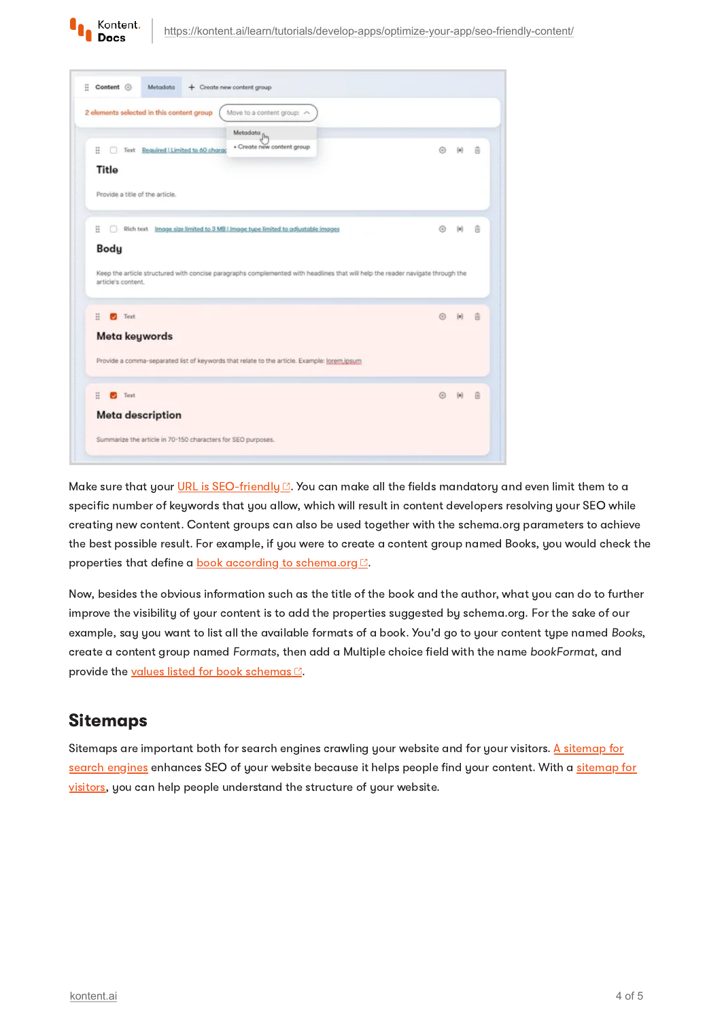

| 2 elements selected in this content group<br>Move to a content group: ~                                                                                           |   |                              |   |
|-------------------------------------------------------------------------------------------------------------------------------------------------------------------|---|------------------------------|---|
| Metadata <sub>[m</sub><br>+ Create new content group<br>Ħ<br>Text Required   Limited to 60 charge<br>Title                                                        | ⊛ | 60                           | 音 |
| Provide a title of the article.                                                                                                                                   |   |                              |   |
| H.<br>Rich text Image size limited to 3 MB I Image type limited to adjustable images                                                                              | ⊙ | $\langle \pm \rangle$        |   |
|                                                                                                                                                                   |   |                              | 亩 |
| Body                                                                                                                                                              |   |                              |   |
| Keep the article structured with concise paragraphs complemented with headlines that will help the reader navigate through the<br>article's content.<br>Text<br>м |   |                              | 合 |
| H.<br>Meta keywords                                                                                                                                               |   |                              |   |
| Provide a comma-separated list of keywords that relate to the article. Example: lorem.jpsum                                                                       |   |                              |   |
| H<br>$\bullet$<br>Text                                                                                                                                            | ◎ | $\left\{ \mathbf{m}\right\}$ | 音 |
| <b>Meta description</b>                                                                                                                                           |   |                              |   |

Make sure that your URL is [SEO-friendly](https://backlinko.com/hub/seo/urls)  $\mathbb{Z}$ . You can make all the fields mandatory and even limit them to a specific number of keywords that you allow, which will result in content developers resolving your SEO while creating new content. Content groups can also be used together with the schema.org parameters to achieve the best possible result. For example, if you were to create a content group named Books, you would check the properties that define a book according to [schema.org](https://schema.org/Book)<sup>[2]</sup>.

Now, besides the obvious information such as the title of the book and the author, what you can do to further improve the visibility of your content is to add the properties suggested by schema.org. For the sake of our example, say you want to list all the available formats of a book. You'd go to your content type named Books, create a content group named Formats, then add a Multiple choice field with the name bookFormat, and provide the values listed for book [schemas](https://schema.org/BookFormatType)<sup>[2]</sup>.

## Sitemaps

Sitemaps are important both for search engines crawling your website and for your visitors. A sitemap for search engines [enhances](https://kontent.ai/learn/tutorials/develop-apps/optimize-your-app/sitemaps-for-seo/#a-improve-seo-with-sitemaps) SEO of your website because it helps people find your content. With a sitemap for visitors, you can help people [understand](https://kontent.ai/learn/tutorials/develop-apps/optimize-your-app/sitemaps-for-seo/#a-help-people-understand-your-website-structure) the structure of your website.